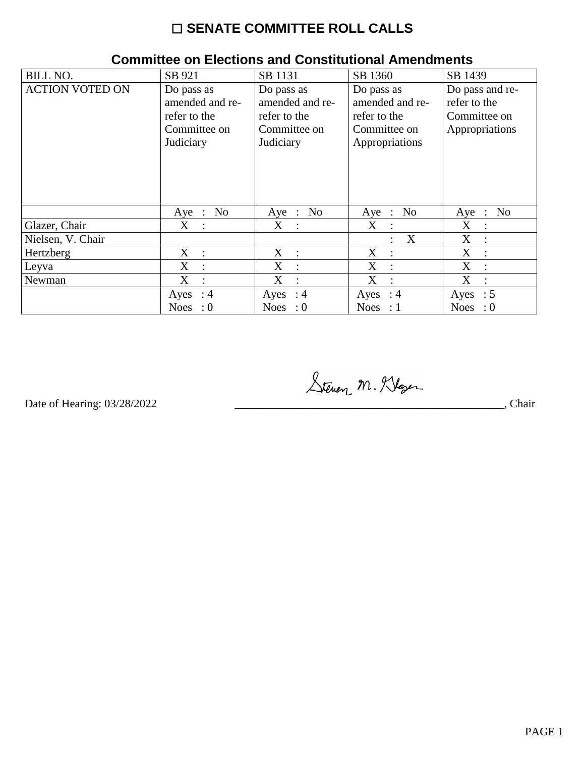## ☐ **SENATE COMMITTEE ROLL CALLS**

| <b>BILL NO.</b>        | SB 921                    | SB 1131            | SB 1360                             | SB 1439                   |
|------------------------|---------------------------|--------------------|-------------------------------------|---------------------------|
| <b>ACTION VOTED ON</b> | Do pass as                | Do pass as         | Do pass as                          | Do pass and re-           |
|                        | amended and re-           | amended and re-    | amended and re-                     | refer to the              |
|                        | refer to the              | refer to the       | refer to the                        | Committee on              |
|                        | Committee on              | Committee on       | Committee on                        | Appropriations            |
|                        | Judiciary                 | Judiciary          | Appropriations                      |                           |
|                        |                           |                    |                                     |                           |
|                        |                           |                    |                                     |                           |
|                        |                           |                    |                                     |                           |
|                        |                           |                    |                                     |                           |
|                        | Aye : $No$                | Aye : No           | No<br>$Aye$ :                       | N <sub>0</sub><br>$Aye$ : |
| Glazer, Chair          | $X_{-}$<br>$\pm$          | X :                | $X_{\mathcal{C}}$<br>$\ddot{\cdot}$ | X<br>$\mathbb{I}$         |
| Nielsen, V. Chair      |                           |                    | X<br>$\ddot{\phantom{a}}$           | X<br>$\ddot{\phantom{a}}$ |
| Hertzberg              | $X_{-}$<br>$\sim$ 1.      | X :                | X<br>$\ddot{\phantom{1}}$           | X<br>$\cdot$              |
| Leyva                  | X                         | X<br>$\frac{1}{2}$ | X<br>$\cdot$ :                      | X<br>$\ddot{\phantom{a}}$ |
| Newman                 | X<br>$\ddot{\phantom{a}}$ | X<br>$\mathbf{r}$  | X<br>$\cdot$ :                      | X<br>$\mathcal{L}$        |
|                        | $\therefore$ 4<br>Ayes    | Ayes : $4$         | Ayes : $4$                          | Ayes : $5$                |
|                        | <b>Noes</b><br>$\colon 0$ | Noes : $0$         | Noes : $1$                          | Noes : $0$                |

## **Committee on Elections and Constitutional Amendments**

Steven M. Klaser

Date of Hearing: 03/28/2022 \_\_\_\_\_\_\_\_\_\_\_\_\_\_\_\_\_\_\_\_\_\_\_\_\_\_\_\_\_\_\_\_\_\_\_\_\_\_\_\_\_\_\_\_\_\_\_, Chair